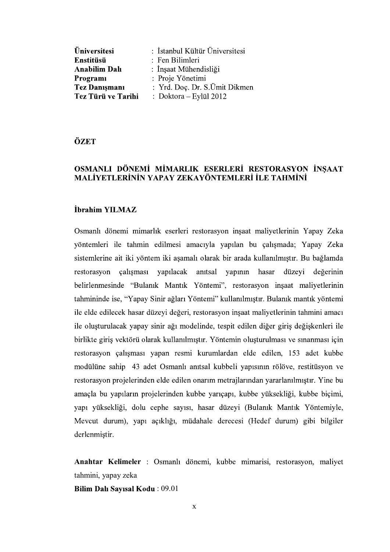| Üniversitesi         | : İstanbul Kültür Üniversitesi |
|----------------------|--------------------------------|
| Enstitüsü            | : Fen Bilimleri                |
| <b>Anabilim Dalı</b> | : İnşaat Mühendisliği          |
| Programi             | : Proje Yönetimi               |
| <b>Tez Danışmanı</b> | : Yrd. Doç. Dr. S.Ümit Dikmen  |
| Tez Türü ve Tarihi   | : Doktora - Eylül 2012         |

ÖZET

# OSMANLI DÖNEMİ MİMARLIK ESERLERİ RESTORASYON İNSAAT MALİYETLERİNİN YAPAY ZEKAYÖNTEMLERİ İLE TAHMİNİ

#### İbrahim YILMAZ

Osmanlı dönemi mimarlık eserleri restorasyon inşaat maliyetlerinin Yapay Zeka yöntemleri ile tahmin edilmesi amacıyla yapılan bu çalışmada; Yapay Zeka sistemlerine ait iki yöntem iki aşamalı olarak bir arada kullanılmıştır. Bu bağlamda restorasyon calismasi yapılacak anıtsal yapının hasar düzeyi değerinin belirlenmesinde "Bulanık Mantık Yöntemi", restorasyon inşaat maliyetlerinin tahmininde ise, "Yapay Sinir ağları Yöntemi" kullanılmıştır. Bulanık mantık yöntemi ile elde edilecek hasar düzeyi değeri, restorasyon inşaat maliyetlerinin tahmini amacı ile oluşturulacak yapay sinir ağı modelinde, tespit edilen diğer giriş değişkenleri ile birlikte giriş vektörü olarak kullanılmıştır. Yöntemin oluşturulması ve sınanması için restorasyon çalışması yapan resmi kurumlardan elde edilen, 153 adet kubbe modülüne sahip 43 adet Osmanlı anıtsal kubbeli yapısının rölöve, restitüsyon ve restorasyon projelerinden elde edilen onarım metrajlarından yararlanılmıştır. Yine bu amaçla bu yapıların projelerinden kubbe yarıçapı, kubbe yüksekliği, kubbe biçimi, yapı yüksekliği, dolu cephe sayısı, hasar düzeyi (Bulanık Mantık Yöntemiyle, Mevcut durum), yapı açıklığı, müdahale derecesi (Hedef durum) gibi bilgiler derlenmistir.

Anahtar Kelimeler : Osmanlı dönemi, kubbe mimarisi, restorasyon, maliyet tahmini, yapay zeka

Bilim Dalı Sayısal Kodu: 09.01